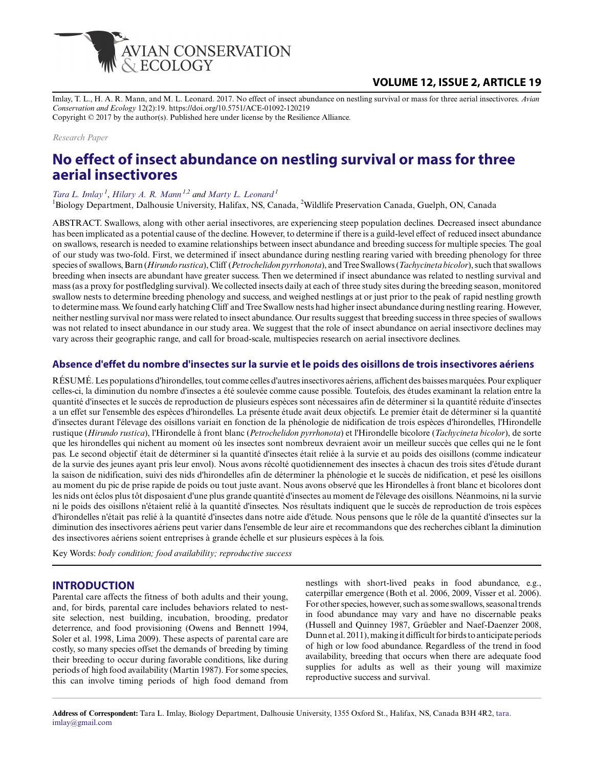

# **VOLUME 12, ISSUE 2, ARTICLE 19**

Imlay, T. L., H. A. R. Mann, and M. L. Leonard. 2017. No effect of insect abundance on nestling survival or mass for three aerial insectivores. *Avian Conservation and Ecology* 12(2):19. https://doi.org/10.5751/ACE-01092-120219 Copyright © 2017 by the author(s). Published here under license by the Resilience Alliance.

*Research Paper*

# **No effect of insect abundance on nestling survival or mass for three aerial insectivores**

#### *[Tara L. Imlay](mailto:tara.imlay@gmail.com)<sup>1</sup>* , *[Hilary A. R. Mann](mailto:hamann@mta.ca) 1,2 and [Marty L. Leonard](mailto:mleonard@dal.ca)<sup>1</sup>*

<sup>1</sup>Biology Department, Dalhousie University, Halifax, NS, Canada, <sup>2</sup>Wildlife Preservation Canada, Guelph, ON, Canada

ABSTRACT. Swallows, along with other aerial insectivores, are experiencing steep population declines. Decreased insect abundance has been implicated as a potential cause of the decline. However, to determine if there is a guild-level effect of reduced insect abundance on swallows, research is needed to examine relationships between insect abundance and breeding success for multiple species. The goal of our study was two-fold. First, we determined if insect abundance during nestling rearing varied with breeding phenology for three species of swallows, Barn (*Hirundo rustica*), Cliff (*Petrochelidon pyrrhonota*), and Tree Swallows (*Tachycineta bicolor*), such that swallows breeding when insects are abundant have greater success. Then we determined if insect abundance was related to nestling survival and mass (as a proxy for postfledgling survival). We collected insects daily at each of three study sites during the breeding season, monitored swallow nests to determine breeding phenology and success, and weighed nestlings at or just prior to the peak of rapid nestling growth to determine mass. We found early hatching Cliff and Tree Swallow nests had higher insect abundance during nestling rearing. However, neither nestling survival nor mass were related to insect abundance. Our results suggest that breeding success in three species of swallows was not related to insect abundance in our study area. We suggest that the role of insect abundance on aerial insectivore declines may vary across their geographic range, and call for broad-scale, multispecies research on aerial insectivore declines.

# **Absence d'effet du nombre d'insectes sur la survie et le poids des oisillons de trois insectivores aériens**

RÉSUMÉ. Les populations d'hirondelles, tout comme celles d'autres insectivores aériens, affichent des baisses marquées. Pour expliquer celles-ci, la diminution du nombre d'insectes a été soulevée comme cause possible. Toutefois, des études examinant la relation entre la quantité d'insectes et le succès de reproduction de plusieurs espèces sont nécessaires afin de déterminer si la quantité réduite d'insectes a un effet sur l'ensemble des espèces d'hirondelles. La présente étude avait deux objectifs. Le premier était de déterminer si la quantité d'insectes durant l'élevage des oisillons variait en fonction de la phénologie de nidification de trois espèces d'hirondelles, l'Hirondelle rustique (*Hirundo rustica*), l'Hirondelle à front blanc (*Petrochelidon pyrrhonota*) et l'Hirondelle bicolore (*Tachycineta bicolor*), de sorte que les hirondelles qui nichent au moment où les insectes sont nombreux devraient avoir un meilleur succès que celles qui ne le font pas. Le second objectif était de déterminer si la quantité d'insectes était reliée à la survie et au poids des oisillons (comme indicateur de la survie des jeunes ayant pris leur envol). Nous avons récolté quotidiennement des insectes à chacun des trois sites d'étude durant la saison de nidification, suivi des nids d'hirondelles afin de déterminer la phénologie et le succès de nidification, et pesé les oisillons au moment du pic de prise rapide de poids ou tout juste avant. Nous avons observé que les Hirondelles à front blanc et bicolores dont les nids ont éclos plus tôt disposaient d'une plus grande quantité d'insectes au moment de l'élevage des oisillons. Néanmoins, ni la survie ni le poids des oisillons n'étaient relié à la quantité d'insectes. Nos résultats indiquent que le succès de reproduction de trois espèces d'hirondelles n'était pas relié à la quantité d'insectes dans notre aide d'étude. Nous pensons que le rôle de la quantité d'insectes sur la diminution des insectivores aériens peut varier dans l'ensemble de leur aire et recommandons que des recherches ciblant la diminution des insectivores aériens soient entreprises à grande échelle et sur plusieurs espèces à la fois.

Key Words: *body condition; food availability; reproductive success*

### **INTRODUCTION**

Parental care affects the fitness of both adults and their young, and, for birds, parental care includes behaviors related to nestsite selection, nest building, incubation, brooding, predator deterrence, and food provisioning (Owens and Bennett 1994, Soler et al. 1998, Lima 2009). These aspects of parental care are costly, so many species offset the demands of breeding by timing their breeding to occur during favorable conditions, like during periods of high food availability (Martin 1987). For some species, this can involve timing periods of high food demand from nestlings with short-lived peaks in food abundance, e.g., caterpillar emergence (Both et al. 2006, 2009, Visser et al. 2006). For other species, however, such as some swallows, seasonal trends in food abundance may vary and have no discernable peaks (Hussell and Quinney 1987, Grüebler and Naef-Daenzer 2008, Dunn et al. 2011), making it difficult for birds to anticipate periods of high or low food abundance. Regardless of the trend in food availability, breeding that occurs when there are adequate food supplies for adults as well as their young will maximize reproductive success and survival.

**Address of Correspondent:** Tara L. Imlay, Biology Department, Dalhousie University, 1355 Oxford St., Halifax, NS, Canada B3H 4R2, [tara.](mailto:tara.imlay@gmail.com) [imlay@gmail.com](mailto:tara.imlay@gmail.com)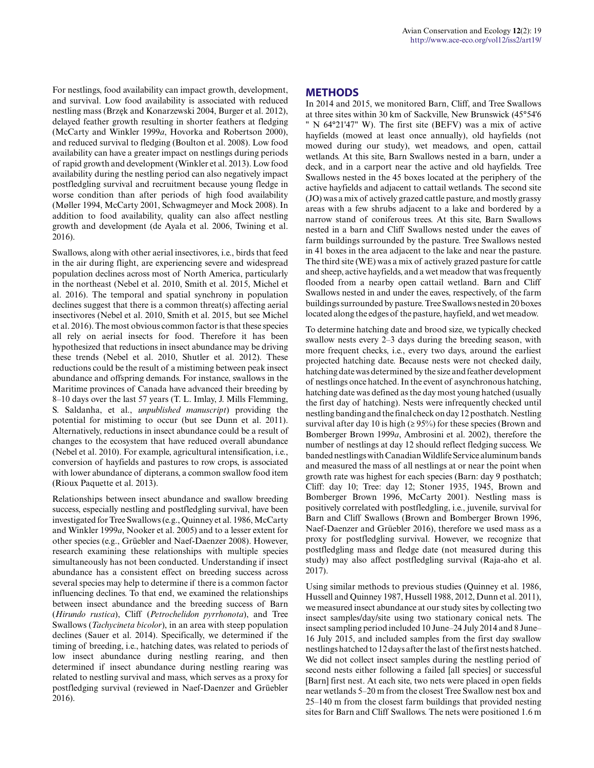For nestlings, food availability can impact growth, development, and survival. Low food availability is associated with reduced nestling mass (Brzęk and Konarzewski 2004, Burger et al. 2012), delayed feather growth resulting in shorter feathers at fledging (McCarty and Winkler 1999*a*, Hovorka and Robertson 2000), and reduced survival to fledging (Boulton et al. 2008). Low food availability can have a greater impact on nestlings during periods of rapid growth and development (Winkler et al. 2013). Low food availability during the nestling period can also negatively impact postfledgling survival and recruitment because young fledge in worse condition than after periods of high food availability (Møller 1994, McCarty 2001, Schwagmeyer and Mock 2008). In addition to food availability, quality can also affect nestling growth and development (de Ayala et al. 2006, Twining et al. 2016).

Swallows, along with other aerial insectivores, i.e., birds that feed in the air during flight, are experiencing severe and widespread population declines across most of North America, particularly in the northeast (Nebel et al. 2010, Smith et al. 2015, Michel et al. 2016). The temporal and spatial synchrony in population declines suggest that there is a common threat(s) affecting aerial insectivores (Nebel et al. 2010, Smith et al. 2015, but see Michel et al. 2016). The most obvious common factor is that these species all rely on aerial insects for food. Therefore it has been hypothesized that reductions in insect abundance may be driving these trends (Nebel et al. 2010, Shutler et al. 2012). These reductions could be the result of a mistiming between peak insect abundance and offspring demands. For instance, swallows in the Maritime provinces of Canada have advanced their breeding by 8–10 days over the last 57 years (T. L. Imlay, J. Mills Flemming, S. Saldanha, et al., *unpublished manuscript*) providing the potential for mistiming to occur (but see Dunn et al. 2011). Alternatively, reductions in insect abundance could be a result of changes to the ecosystem that have reduced overall abundance (Nebel et al. 2010). For example, agricultural intensification, i.e., conversion of hayfields and pastures to row crops, is associated with lower abundance of dipterans, a common swallow food item (Rioux Paquette et al. 2013).

Relationships between insect abundance and swallow breeding success, especially nestling and postfledgling survival, have been investigated for Tree Swallows (e.g., Quinney et al. 1986, McCarty and Winkler 1999*a*, Nooker et al. 2005) and to a lesser extent for other species (e.g., Grüebler and Naef-Daenzer 2008). However, research examining these relationships with multiple species simultaneously has not been conducted. Understanding if insect abundance has a consistent effect on breeding success across several species may help to determine if there is a common factor influencing declines. To that end, we examined the relationships between insect abundance and the breeding success of Barn (*Hirundo rustica*), Cliff (*Petrochelidon pyrrhonota*), and Tree Swallows (*Tachycineta bicolor*), in an area with steep population declines (Sauer et al. 2014). Specifically, we determined if the timing of breeding, i.e., hatching dates, was related to periods of low insect abundance during nestling rearing, and then determined if insect abundance during nestling rearing was related to nestling survival and mass, which serves as a proxy for postfledging survival (reviewed in Naef-Daenzer and Grüebler 2016).

### **METHODS**

In 2014 and 2015, we monitored Barn, Cliff, and Tree Swallows at three sites within 30 km of Sackville, New Brunswick (45°54'6 " N 64°21'47" W). The first site (BEFV) was a mix of active hayfields (mowed at least once annually), old hayfields (not mowed during our study), wet meadows, and open, cattail wetlands. At this site, Barn Swallows nested in a barn, under a deck, and in a carport near the active and old hayfields. Tree Swallows nested in the 45 boxes located at the periphery of the active hayfields and adjacent to cattail wetlands. The second site (JO) was a mix of actively grazed cattle pasture, and mostly grassy areas with a few shrubs adjacent to a lake and bordered by a narrow stand of coniferous trees. At this site, Barn Swallows nested in a barn and Cliff Swallows nested under the eaves of farm buildings surrounded by the pasture. Tree Swallows nested in 41 boxes in the area adjacent to the lake and near the pasture. The third site (WE) was a mix of actively grazed pasture for cattle and sheep, active hayfields, and a wet meadow that was frequently flooded from a nearby open cattail wetland. Barn and Cliff Swallows nested in and under the eaves, respectively, of the farm buildings surrounded by pasture. Tree Swallows nested in 20 boxes located along the edges of the pasture, hayfield, and wet meadow.

To determine hatching date and brood size, we typically checked swallow nests every 2–3 days during the breeding season, with more frequent checks, i.e., every two days, around the earliest projected hatching date. Because nests were not checked daily, hatching date was determined by the size and feather development of nestlings once hatched. In the event of asynchronous hatching, hatching date was defined as the day most young hatched (usually the first day of hatching). Nests were infrequently checked until nestling banding and the final check on day 12 posthatch. Nestling survival after day 10 is high ( $\geq 95\%$ ) for these species (Brown and Bomberger Brown 1999*a*, Ambrosini et al. 2002), therefore the number of nestlings at day 12 should reflect fledging success. We banded nestlings with Canadian Wildlife Service aluminum bands and measured the mass of all nestlings at or near the point when growth rate was highest for each species (Barn: day 9 posthatch; Cliff: day 10; Tree: day 12; Stoner 1935, 1945, Brown and Bomberger Brown 1996, McCarty 2001). Nestling mass is positively correlated with postfledgling, i.e., juvenile, survival for Barn and Cliff Swallows (Brown and Bomberger Brown 1996, Naef-Daenzer and Grüebler 2016), therefore we used mass as a proxy for postfledgling survival. However, we recognize that postfledgling mass and fledge date (not measured during this study) may also affect postfledgling survival (Raja-aho et al. 2017).

Using similar methods to previous studies (Quinney et al. 1986, Hussell and Quinney 1987, Hussell 1988, 2012, Dunn et al. 2011), we measured insect abundance at our study sites by collecting two insect samples/day/site using two stationary conical nets. The insect sampling period included 10 June–24 July 2014 and 8 June– 16 July 2015, and included samples from the first day swallow nestlings hatched to 12 days after the last of the first nests hatched. We did not collect insect samples during the nestling period of second nests either following a failed [all species] or successful [Barn] first nest. At each site, two nets were placed in open fields near wetlands 5–20 m from the closest Tree Swallow nest box and 25–140 m from the closest farm buildings that provided nesting sites for Barn and Cliff Swallows. The nets were positioned 1.6 m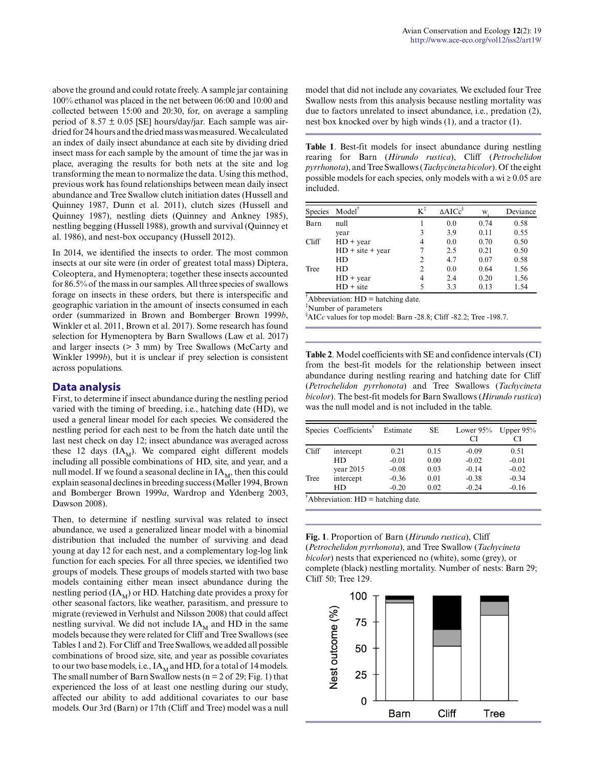above the ground and could rotate freely. A sample jar containing 100% ethanol was placed in the net between 06:00 and 10:00 and collected between 15:00 and 20:30, for, on average a sampling period of  $8.57 \pm 0.05$  [SE] hours/day/jar. Each sample was airdried for 24 hours and the dried mass was measured. We calculated an index of daily insect abundance at each site by dividing dried insect mass for each sample by the amount of time the jar was in place, averaging the results for both nets at the site and log transforming the mean to normalize the data. Using this method, previous work has found relationships between mean daily insect abundance and Tree Swallow clutch initiation dates (Hussell and Quinney 1987, Dunn et al. 2011), clutch sizes (Hussell and Quinney 1987), nestling diets (Quinney and Ankney 1985), nestling begging (Hussell 1988), growth and survival (Quinney et al. 1986), and nest-box occupancy (Hussell 2012).

In 2014, we identified the insects to order. The most common insects at our site were (in order of greatest total mass) Diptera, Coleoptera, and Hymenoptera; together these insects accounted for 86.5% of the mass in our samples. All three species of swallows forage on insects in these orders, but there is interspecific and geographic variation in the amount of insects consumed in each order (summarized in Brown and Bomberger Brown 1999*b*, Winkler et al. 2011, Brown et al. 2017). Some research has found selection for Hymenoptera by Barn Swallows (Law et al. 2017) and larger insects (> 3 mm) by Tree Swallows (McCarty and Winkler 1999*b*), but it is unclear if prey selection is consistent across populations.

### **Data analysis**

First, to determine if insect abundance during the nestling period varied with the timing of breeding, i.e., hatching date (HD), we used a general linear model for each species. We considered the nestling period for each nest to be from the hatch date until the last nest check on day 12; insect abundance was averaged across these 12 days  $(IA<sub>M</sub>)$ . We compared eight different models including all possible combinations of HD, site, and year, and a null model. If we found a seasonal decline in  $\rm IA_{M}^{}$  then this could explain seasonal declines in breeding success (Møller 1994, Brown and Bomberger Brown 1999*a*, Wardrop and Ydenberg 2003, Dawson 2008).

Then, to determine if nestling survival was related to insect abundance, we used a generalized linear model with a binomial distribution that included the number of surviving and dead young at day 12 for each nest, and a complementary log-log link function for each species. For all three species, we identified two groups of models. These groups of models started with two base models containing either mean insect abundance during the nestling period (IA<sub>M</sub>) or HD. Hatching date provides a proxy for other seasonal factors, like weather, parasitism, and pressure to migrate (reviewed in Verhulst and Nilsson 2008) that could affect nestling survival. We did not include  $IA<sub>M</sub>$  and HD in the same models because they were related for Cliff and Tree Swallows (see Tables 1 and 2). For Cliff and Tree Swallows, we added all possible combinations of brood size, site, and year as possible covariates to our two base models, i.e.,  $\text{IA}_{\text{M}}$  and HD, for a total of 14 models. The small number of Barn Swallow nests ( $n = 2$  of 29; Fig. 1) that experienced the loss of at least one nestling during our study, affected our ability to add additional covariates to our base models. Our 3rd (Barn) or 17th (Cliff and Tree) model was a null model that did not include any covariates. We excluded four Tree Swallow nests from this analysis because nestling mortality was due to factors unrelated to insect abundance, i.e., predation (2), nest box knocked over by high winds (1), and a tractor (1).

**Table 1**. Best-fit models for insect abundance during nestling rearing for Barn (*Hirundo rustica*), Cliff (*Petrochelidon pyrrhonota*), and Tree Swallows (*Tachycineta bicolor*). Of the eight possible models for each species, only models with a wi  $\geq 0.05$  are included.

| Species | Model              | K‡             | $\triangle AICc^{\S}$ | W.   | Deviance |
|---------|--------------------|----------------|-----------------------|------|----------|
| Barn    | null               |                | 0.0                   | 0.74 | 0.58     |
|         | year               | 3              | 3.9                   | 0.11 | 0.55     |
| Cliff   | $HD + year$        | 4              | 0.0                   | 0.70 | 0.50     |
|         | $HD + site + year$ |                | 2.5                   | 0.21 | 0.50     |
|         | HD                 | $\overline{c}$ | 4.7                   | 0.07 | 0.58     |
| Tree    | HD                 | $\overline{c}$ | 0.0                   | 0.64 | 1.56     |
|         | $HD + year$        | 4              | 2.4                   | 0.20 | 1.56     |
|         | $HD + site$        | 5              | 3.3                   | 0.13 | 1.54     |

 $^{\dagger}$ Abbreviation: HD = hatching date.

‡Number of parameters

§AIC*c* values for top model: Barn -28.8; Cliff -82.2; Tree -198.7.

**Table 2**. Model coefficients with SE and confidence intervals (CI) from the best-fit models for the relationship between insect abundance during nestling rearing and hatching date for Cliff (*Petrochelidon pyrrhonota*) and Tree Swallows (*Tachycineta bicolor*). The best-fit models for Barn Swallows (*Hirundo rustica*) was the null model and is not included in the table.

|       | Species Coefficients <sup>†</sup>          | Estimate | <b>SE</b> | Lower $95%$<br>CI | Upper $95%$<br>СI |
|-------|--------------------------------------------|----------|-----------|-------------------|-------------------|
| Cliff | intercept                                  | 0.21     | 0.15      | $-0.09$           | 0.51              |
|       | HD                                         | $-0.01$  | 0.00      | $-0.02$           | $-0.01$           |
|       | vear 2015                                  | $-0.08$  | 0.03      | $-0.14$           | $-0.02$           |
| Tree  | intercept                                  | $-0.36$  | 0.01      | $-0.38$           | $-0.34$           |
|       | HD                                         | $-0.20$  | 0.02      | $-0.24$           | $-0.16$           |
|       | Abbreviation: $HD = \text{hatching date.}$ |          |           |                   |                   |

**Fig. 1**. Proportion of Barn (*Hirundo rustica*), Cliff (*Petrochelidon pyrrhonota*), and Tree Swallow (*Tachycineta bicolor*) nests that experienced no (white), some (grey), or complete (black) nestling mortality. Number of nests: Barn 29;

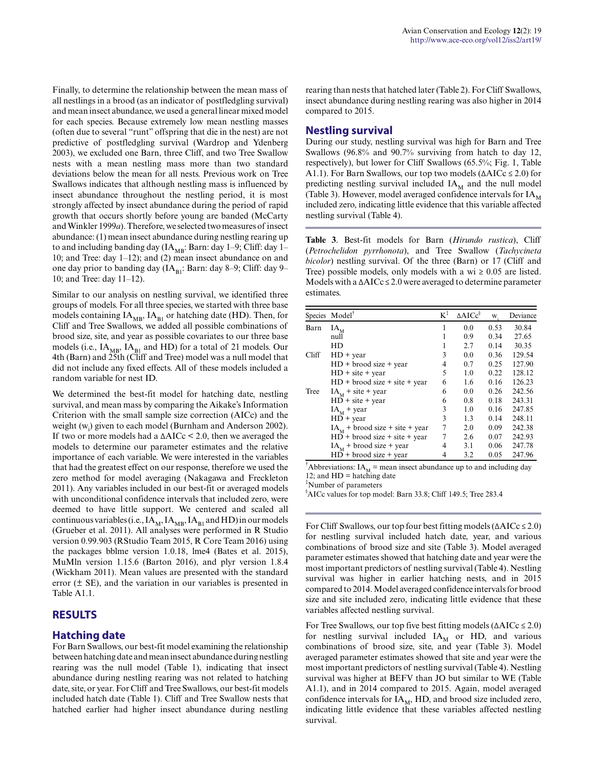Finally, to determine the relationship between the mean mass of all nestlings in a brood (as an indicator of postfledgling survival) and mean insect abundance, we used a general linear mixed model for each species. Because extremely low mean nestling masses (often due to several "runt" offspring that die in the nest) are not predictive of postfledgling survival (Wardrop and Ydenberg 2003), we excluded one Barn, three Cliff, and two Tree Swallow nests with a mean nestling mass more than two standard deviations below the mean for all nests. Previous work on Tree Swallows indicates that although nestling mass is influenced by insect abundance throughout the nestling period, it is most strongly affected by insect abundance during the period of rapid growth that occurs shortly before young are banded (McCarty and Winkler 1999*a*). Therefore, we selected two measures of insect abundance: (1) mean insect abundance during nestling rearing up to and including banding day  $(IA<sub>MB</sub>: Barn: day 1-9; Cliff: day 1-$ 10; and Tree: day 1–12); and (2) mean insect abundance on and one day prior to banding day (IA $_{\rm{B1}}$ : Barn: day 8–9; Cliff: day 9– 10; and Tree: day 11–12).

Similar to our analysis on nestling survival, we identified three groups of models. For all three species, we started with three base models containing  $IA<sub>MB</sub>$ ,  $IA<sub>BI</sub>$  or hatching date (HD). Then, for Cliff and Tree Swallows, we added all possible combinations of brood size, site, and year as possible covariates to our three base models (i.e.,  $IA<sub>MB</sub>$ ,  $IA<sub>Bl</sub>$  and HD) for a total of 21 models. Our 4th (Barn) and 25th (Cliff and Tree) model was a null model that did not include any fixed effects. All of these models included a random variable for nest ID.

We determined the best-fit model for hatching date, nestling survival, and mean mass by comparing the Aikake's Information Criterion with the small sample size correction (AICc) and the weight  $(w_i)$  given to each model (Burnham and Anderson 2002). If two or more models had a  $\triangle AICc \leq 2.0$ , then we averaged the models to determine our parameter estimates and the relative importance of each variable. We were interested in the variables that had the greatest effect on our response, therefore we used the zero method for model averaging (Nakagawa and Freckleton 2011). Any variables included in our best-fit or averaged models with unconditional confidence intervals that included zero, were deemed to have little support. We centered and scaled all continuous variables (i.e.,  $\text{IA}_{\text{M}}$ ,  $\text{IA}_{\text{MB}}$ ,  $\text{IA}_{\text{BI}}$  and HD) in our models (Grueber et al. 2011). All analyses were performed in R Studio version 0.99.903 (RStudio Team 2015, R Core Team 2016) using the packages bblme version 1.0.18, lme4 (Bates et al. 2015), MuMln version 1.15.6 (Barton 2016), and plyr version 1.8.4 (Wickham 2011). Mean values are presented with the standard error  $(\pm \text{ SE})$ , and the variation in our variables is presented in Table A1.1.

# **RESULTS**

# **Hatching date**

For Barn Swallows, our best-fit model examining the relationship between hatching date and mean insect abundance during nestling rearing was the null model (Table 1), indicating that insect abundance during nestling rearing was not related to hatching date, site, or year. For Cliff and Tree Swallows, our best-fit models included hatch date (Table 1). Cliff and Tree Swallow nests that hatched earlier had higher insect abundance during nestling rearing than nests that hatched later (Table 2). For Cliff Swallows, insect abundance during nestling rearing was also higher in 2014 compared to 2015.

# **Nestling survival**

During our study, nestling survival was high for Barn and Tree Swallows (96.8% and 90.7% surviving from hatch to day 12, respectively), but lower for Cliff Swallows (65.5%; Fig. 1, Table A1.1). For Barn Swallows, our top two models (ΔAICc ≤ 2.0) for predicting nestling survival included  $IA<sub>M</sub>$  and the null model (Table 3). However, model averaged confidence intervals for  $IA<sub>M</sub>$ included zero, indicating little evidence that this variable affected nestling survival (Table 4).

**Table 3**. Best-fit models for Barn (*Hirundo rustica*), Cliff (*Petrochelidon pyrrhonota*), and Tree Swallow (*Tachycineta bicolor*) nestling survival. Of the three (Barn) or 17 (Cliff and Tree) possible models, only models with a wi  $\geq 0.05$  are listed. Models with a  $\triangle AICc \leq 2.0$  were averaged to determine parameter estimates.

|       | Species Model <sup>™</sup>       | $K^{\ddagger}$ | $\triangle AICc^{\S}$ | W.   | Deviance |
|-------|----------------------------------|----------------|-----------------------|------|----------|
| Barn  | $\text{IA}_{\text{M}}$           | 1              | 0.0                   | 0.53 | 30.84    |
|       | null                             |                | 0.9                   | 0.34 | 27.65    |
|       | HD                               |                | 2.7                   | 0.14 | 30.35    |
| Cliff | $HD + year$                      | 3              | 0.0                   | 0.36 | 129.54   |
|       | $HD + broad size + year$         | 4              | 0.7                   | 0.25 | 127.90   |
|       | $HD + site + year$               | 5              | 1.0                   | 0.22 | 128.12   |
|       | $HD + broad size + site + year$  | 6              | 1.6                   | 0.16 | 126.23   |
| Tree  | $IA_{\mathcal{M}}$ + site + year | 6              | 0.0                   | 0.26 | 242.56   |
|       | $HD + site + year$               | 6              | 0.8                   | 0.18 | 243.31   |
|       | $IAM$ + year                     | 3              | 1.0                   | 0.16 | 247.85   |
|       | $HD + year$                      | 3              | 1.3                   | 0.14 | 248.11   |
|       | $IAM$ + brood size + site + year | 7              | 2.0                   | 0.09 | 242.38   |
|       | $HD + broad size + site + year$  | 7              | 2.6                   | 0.07 | 242.93   |
|       | $IAM$ + brood size + year        | 4              | 3.1                   | 0.06 | 247.78   |
|       | $HD + broad size + year$         | 4              | 3.2                   | 0.05 | 247.96   |

<sup>†</sup>Abbreviations: IA<sub>M</sub> = mean insect abundance up to and including day 12; and  $HD = \text{hatching date}$ 

‡Number of parameters

§AICc values for top model: Barn 33.8; Cliff 149.5; Tree 283.4

For Cliff Swallows, our top four best fitting models  $(\Delta AICc \le 2.0)$ for nestling survival included hatch date, year, and various combinations of brood size and site (Table 3). Model averaged parameter estimates showed that hatching date and year were the most important predictors of nestling survival (Table 4). Nestling survival was higher in earlier hatching nests, and in 2015 compared to 2014. Model averaged confidence intervals for brood size and site included zero, indicating little evidence that these variables affected nestling survival.

For Tree Swallows, our top five best fitting models  $(\Delta AICc \le 2.0)$ for nestling survival included  $IA<sub>M</sub>$  or HD, and various combinations of brood size, site, and year (Table 3). Model averaged parameter estimates showed that site and year were the most important predictors of nestling survival (Table 4). Nestling survival was higher at BEFV than JO but similar to WE (Table A1.1), and in 2014 compared to 2015. Again, model averaged confidence intervals for  $IA<sub>M</sub>$ , HD, and brood size included zero, indicating little evidence that these variables affected nestling survival.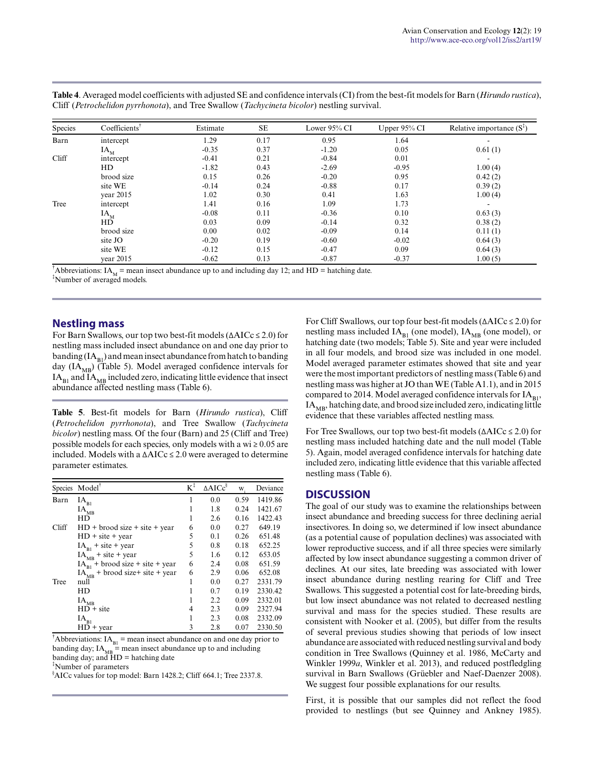| Species | Coefficients <sup>1</sup> | Estimate | <b>SE</b> | Lower 95% CI | Upper 95% CI | Relative importance $(S^+)$ |
|---------|---------------------------|----------|-----------|--------------|--------------|-----------------------------|
| Barn    | intercept                 | 1.29     | 0.17      | 0.95         | 1.64         |                             |
|         | $IA_{\rm M}$              | $-0.35$  | 0.37      | $-1.20$      | 0.05         | 0.61(1)                     |
| Cliff   | intercept                 | $-0.41$  | 0.21      | $-0.84$      | 0.01         |                             |
|         | HD                        | $-1.82$  | 0.43      | $-2.69$      | $-0.95$      | 1.00(4)                     |
|         | brood size                | 0.15     | 0.26      | $-0.20$      | 0.95         | 0.42(2)                     |
|         | site WE                   | $-0.14$  | 0.24      | $-0.88$      | 0.17         | 0.39(2)                     |
|         | year 2015                 | 1.02     | 0.30      | 0.41         | 1.63         | 1.00(4)                     |
| Tree    | intercept                 | 1.41     | 0.16      | 1.09         | 1.73         |                             |
|         | $IA_{\rm M}$              | $-0.08$  | 0.11      | $-0.36$      | 0.10         | 0.63(3)                     |
|         | HD                        | 0.03     | 0.09      | $-0.14$      | 0.32         | 0.38(2)                     |
|         | brood size                | 0.00     | 0.02      | $-0.09$      | 0.14         | 0.11(1)                     |
|         | site JO                   | $-0.20$  | 0.19      | $-0.60$      | $-0.02$      | 0.64(3)                     |
|         | site WE                   | $-0.12$  | 0.15      | $-0.47$      | 0.09         | 0.64(3)                     |
|         | vear $2015$               | $-0.62$  | 0.13      | $-0.87$      | $-0.37$      | 1.00(5)                     |

**Table 4**. Averaged model coefficients with adjusted SE and confidence intervals (CI) from the best-fit models for Barn (*Hirundo rustica*), Cliff (*Petrochelidon pyrrhonota*), and Tree Swallow (*Tachycineta bicolor*) nestling survival.

<sup>†</sup>Abbreviations: IA<sub>M</sub> = mean insect abundance up to and including day 12; and HD = hatching date.

‡Number of averaged models.

# **Nestling mass**

For Barn Swallows, our top two best-fit models (ΔAICc ≤ 2.0) for nestling mass included insect abundance on and one day prior to banding  $(IA_{B1})$  and mean insect abundance from hatch to banding day  $(IA<sub>MB</sub>)$  (Table 5). Model averaged confidence intervals for  $IA<sub>BI</sub>$  and  $IA<sub>MB</sub>$  included zero, indicating little evidence that insect abundance affected nestling mass (Table 6).

**Table 5**. Best-fit models for Barn (*Hirundo rustica*), Cliff (*Petrochelidon pyrrhonota*), and Tree Swallow (*Tachycineta bicolor*) nestling mass. Of the four (Barn) and 25 (Cliff and Tree) possible models for each species, only models with a wi  $\geq 0.05$  are included. Models with a  $\triangle AICc \leq 2.0$  were averaged to determine parameter estimates.

|       | Species Model <sup>†</sup>                 | $K^{\ddagger}$ | $\triangle AICc^{\S}$ | W.   | Deviance |
|-------|--------------------------------------------|----------------|-----------------------|------|----------|
| Barn  | $\rm IA_{\rm Bl}$                          | 1              | 0.0                   | 0.59 | 1419.86  |
|       | $\rm IA_{\rm MB}$                          |                | 1.8                   | 0.24 | 1421.67  |
|       | HD                                         | 1              | 2.6                   | 0.16 | 1422.43  |
| Cliff | $HD + broad size + site + year$            | 6              | 0.0                   | 0.27 | 649.19   |
|       | $HD + site + year$                         | 5              | 0.1                   | 0.26 | 651.48   |
|       | $IA_{\text{p1}}$ + site + year             | 5              | 0.8                   | 0.18 | 652.25   |
|       | $IAMB + site + year$                       | 5              | 1.6                   | 0.12 | 653.05   |
|       | $IA_{\rm_{Pl}}$ + brood size + site + year | 6              | 2.4                   | 0.08 | 651.59   |
|       | $IAMB$ + brood size + site + year          | 6              | 2.9                   | 0.06 | 652.08   |
| Tree  | null                                       | 1              | 0.0                   | 0.27 | 2331.79  |
|       | HD                                         |                | 0.7                   | 0.19 | 2330.42  |
|       | $\rm IA_{\rm MB}$                          | 1              | 2.2                   | 0.09 | 2332.01  |
|       | $HD + site$                                | 4              | 2.3                   | 0.09 | 2327.94  |
|       | $\rm IA_{\rm B1}$                          | 1              | 2.3                   | 0.08 | 2332.09  |
|       | $HD + year$                                | 3              | 2.8                   | 0.07 | 2330.50  |

<sup>†</sup>Abbreviations: IA<sub>B1</sub> = mean insect abundance on and one day prior to banding day;  $IA_{MB}$  = mean insect abundance up to and including banding day; and  $HD =$  hatching date

‡Number of parameters

 ${}^8$ AICc values for top model: Barn 1428.2; Cliff 664.1; Tree 2337.8.

For Cliff Swallows, our top four best-fit models (ΔAICc ≤ 2.0) for nestling mass included  $IA_{B1}$  (one model),  $IA_{MB}$  (one model), or hatching date (two models; Table 5). Site and year were included in all four models, and brood size was included in one model. Model averaged parameter estimates showed that site and year were the most important predictors of nestling mass (Table 6) and nestling mass was higher at JO than WE (Table A1.1), and in 2015 compared to 2014. Model averaged confidence intervals for  $IA_{B1}$ ,  $IA<sub>MB</sub>$ , hatching date, and brood size included zero, indicating little evidence that these variables affected nestling mass.

For Tree Swallows, our top two best-fit models ( $\triangle AICc \le 2.0$ ) for nestling mass included hatching date and the null model (Table 5). Again, model averaged confidence intervals for hatching date included zero, indicating little evidence that this variable affected nestling mass (Table 6).

### **DISCUSSION**

The goal of our study was to examine the relationships between insect abundance and breeding success for three declining aerial insectivores. In doing so, we determined if low insect abundance (as a potential cause of population declines) was associated with lower reproductive success, and if all three species were similarly affected by low insect abundance suggesting a common driver of declines. At our sites, late breeding was associated with lower insect abundance during nestling rearing for Cliff and Tree Swallows. This suggested a potential cost for late-breeding birds, but low insect abundance was not related to decreased nestling survival and mass for the species studied. These results are consistent with Nooker et al. (2005), but differ from the results of several previous studies showing that periods of low insect abundance are associated with reduced nestling survival and body condition in Tree Swallows (Quinney et al. 1986, McCarty and Winkler 1999*a*, Winkler et al. 2013), and reduced postfledgling survival in Barn Swallows (Grüebler and Naef-Daenzer 2008). We suggest four possible explanations for our results.

First, it is possible that our samples did not reflect the food provided to nestlings (but see Quinney and Ankney 1985).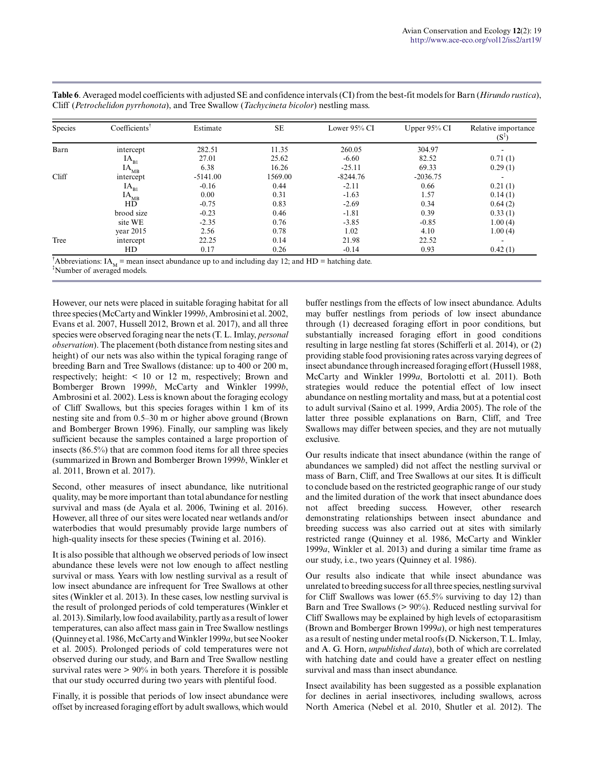| Species | Coefficients <sup>T</sup> | Estimate   | <b>SE</b> | Lower 95% CI | Upper $95\%$ CI | Relative importance<br>$(S^+)$ |
|---------|---------------------------|------------|-----------|--------------|-----------------|--------------------------------|
| Barn    | intercept                 | 282.51     | 11.35     | 260.05       | 304.97          |                                |
|         | $IA_{B1}$                 | 27.01      | 25.62     | $-6.60$      | 82.52           | 0.71(1)                        |
|         | $IA_{MB}$                 | 6.38       | 16.26     | $-25.11$     | 69.33           | 0.29(1)                        |
| Cliff   | intercept                 | $-5141.00$ | 1569.00   | $-8244.76$   | $-2036.75$      |                                |
|         | $IA_{B1}$                 | $-0.16$    | 0.44      | $-2.11$      | 0.66            | 0.21(1)                        |
|         | $IA$ <sub>MB</sub>        | 0.00       | 0.31      | $-1.63$      | 1.57            | 0.14(1)                        |
|         | HD                        | $-0.75$    | 0.83      | $-2.69$      | 0.34            | 0.64(2)                        |
|         | brood size                | $-0.23$    | 0.46      | $-1.81$      | 0.39            | 0.33(1)                        |
|         | site WE                   | $-2.35$    | 0.76      | $-3.85$      | $-0.85$         | 1.00(4)                        |
|         | vear $2015$               | 2.56       | 0.78      | 1.02         | 4.10            | 1.00(4)                        |
| Tree    | intercept                 | 22.25      | 0.14      | 21.98        | 22.52           |                                |
|         | HD                        | 0.17       | 0.26      | $-0.14$      | 0.93            | 0.42(1)                        |

**Table 6**. Averaged model coefficients with adjusted SE and confidence intervals (CI) from the best-fit models for Barn (*Hirundo rustica*), Cliff (*Petrochelidon pyrrhonota*), and Tree Swallow (*Tachycineta bicolor*) nestling mass.

<sup>†</sup>Abbreviations: IA<sub>M</sub> = mean insect abundance up to and including day 12; and HD = hatching date. ‡Number of averaged models.

However, our nets were placed in suitable foraging habitat for all three species (McCarty and Winkler 1999*b*, Ambrosini et al. 2002, Evans et al. 2007, Hussell 2012, Brown et al. 2017), and all three species were observed foraging near the nets (T. L. Imlay, *personal observation*). The placement (both distance from nesting sites and height) of our nets was also within the typical foraging range of breeding Barn and Tree Swallows (distance: up to 400 or 200 m, respectively; height: < 10 or 12 m, respectively; Brown and Bomberger Brown 1999*b*, McCarty and Winkler 1999*b*, Ambrosini et al. 2002). Less is known about the foraging ecology of Cliff Swallows, but this species forages within 1 km of its nesting site and from 0.5–30 m or higher above ground (Brown and Bomberger Brown 1996). Finally, our sampling was likely sufficient because the samples contained a large proportion of insects (86.5%) that are common food items for all three species (summarized in Brown and Bomberger Brown 1999*b*, Winkler et al. 2011, Brown et al. 2017).

Second, other measures of insect abundance, like nutritional quality, may be more important than total abundance for nestling survival and mass (de Ayala et al. 2006, Twining et al. 2016). However, all three of our sites were located near wetlands and/or waterbodies that would presumably provide large numbers of high-quality insects for these species (Twining et al. 2016).

It is also possible that although we observed periods of low insect abundance these levels were not low enough to affect nestling survival or mass. Years with low nestling survival as a result of low insect abundance are infrequent for Tree Swallows at other sites (Winkler et al. 2013). In these cases, low nestling survival is the result of prolonged periods of cold temperatures (Winkler et al. 2013). Similarly, low food availability, partly as a result of lower temperatures, can also affect mass gain in Tree Swallow nestlings (Quinney et al. 1986, McCarty and Winkler 1999*a*, but see Nooker et al. 2005). Prolonged periods of cold temperatures were not observed during our study, and Barn and Tree Swallow nestling survival rates were  $> 90\%$  in both years. Therefore it is possible that our study occurred during two years with plentiful food.

Finally, it is possible that periods of low insect abundance were offset by increased foraging effort by adult swallows, which would buffer nestlings from the effects of low insect abundance. Adults may buffer nestlings from periods of low insect abundance through (1) decreased foraging effort in poor conditions, but substantially increased foraging effort in good conditions resulting in large nestling fat stores (Schifferli et al. 2014), or (2) providing stable food provisioning rates across varying degrees of insect abundance through increased foraging effort (Hussell 1988, McCarty and Winkler 1999*a*, Bortolotti et al. 2011). Both strategies would reduce the potential effect of low insect abundance on nestling mortality and mass, but at a potential cost to adult survival (Saino et al. 1999, Ardia 2005). The role of the latter three possible explanations on Barn, Cliff, and Tree Swallows may differ between species, and they are not mutually exclusive.

Our results indicate that insect abundance (within the range of abundances we sampled) did not affect the nestling survival or mass of Barn, Cliff, and Tree Swallows at our sites. It is difficult to conclude based on the restricted geographic range of our study and the limited duration of the work that insect abundance does not affect breeding success. However, other research demonstrating relationships between insect abundance and breeding success was also carried out at sites with similarly restricted range (Quinney et al. 1986, McCarty and Winkler 1999*a*, Winkler et al. 2013) and during a similar time frame as our study, i.e., two years (Quinney et al. 1986).

Our results also indicate that while insect abundance was unrelated to breeding success for all three species, nestling survival for Cliff Swallows was lower (65.5% surviving to day 12) than Barn and Tree Swallows (> 90%). Reduced nestling survival for Cliff Swallows may be explained by high levels of ectoparasitism (Brown and Bomberger Brown 1999*a*), or high nest temperatures as a result of nesting under metal roofs (D. Nickerson, T. L. Imlay, and A. G. Horn, *unpublished data*), both of which are correlated with hatching date and could have a greater effect on nestling survival and mass than insect abundance.

Insect availability has been suggested as a possible explanation for declines in aerial insectivores, including swallows, across North America (Nebel et al. 2010, Shutler et al. 2012). The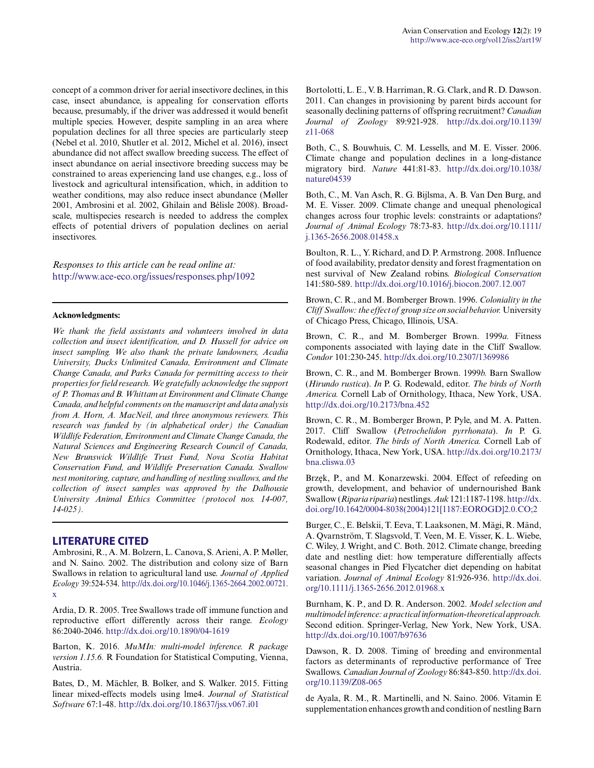concept of a common driver for aerial insectivore declines, in this case, insect abundance, is appealing for conservation efforts because, presumably, if the driver was addressed it would benefit multiple species. However, despite sampling in an area where population declines for all three species are particularly steep (Nebel et al. 2010, Shutler et al. 2012, Michel et al. 2016), insect abundance did not affect swallow breeding success. The effect of insect abundance on aerial insectivore breeding success may be constrained to areas experiencing land use changes, e.g., loss of livestock and agricultural intensification, which, in addition to weather conditions, may also reduce insect abundance (Møller 2001, Ambrosini et al. 2002, Ghilain and Bélisle 2008). Broadscale, multispecies research is needed to address the complex effects of potential drivers of population declines on aerial insectivores.

*Responses to this article can be read online at:* <http://www.ace-eco.org/issues/responses.php/1092>

#### **Acknowledgments:**

*We thank the field assistants and volunteers involved in data collection and insect identification, and D. Hussell for advice on insect sampling. We also thank the private landowners, Acadia University, Ducks Unlimited Canada, Environment and Climate Change Canada, and Parks Canada for permitting access to their properties for field research. We gratefully acknowledge the support of P. Thomas and B. Whittam at Environment and Climate Change Canada, and helpful comments on the manuscript and data analysis from A. Horn, A. MacNeil, and three anonymous reviewers. This research was funded by (in alphabetical order) the Canadian Wildlife Federation, Environment and Climate Change Canada, the Natural Sciences and Engineering Research Council of Canada, New Brunswick Wildlife Trust Fund, Nova Scotia Habitat Conservation Fund, and Wildlife Preservation Canada. Swallow nest monitoring, capture, and handling of nestling swallows, and the collection of insect samples was approved by the Dalhousie University Animal Ethics Committee (protocol nos. 14-007, 14-025).*

#### **LITERATURE CITED**

Ambrosini, R., A. M. Bolzern, L. Canova, S. Arieni, A. P. Møller, and N. Saino. 2002. The distribution and colony size of Barn Swallows in relation to agricultural land use. *Journal of Applied Ecology* 39:524-534. [http://dx.doi.org/10.1046/j.1365-2664.2002.00721.](http://dx.doi.org/10.1046%2Fj.1365-2664.2002.00721.x) [x](http://dx.doi.org/10.1046%2Fj.1365-2664.2002.00721.x)

Ardia, D. R. 2005. Tree Swallows trade off immune function and reproductive effort differently across their range. *Ecology* 86:2040-2046. [http://dx.doi.org/10.1890/04-1619](http://dx.doi.org/10.1890%2F04-1619)

Barton, K. 2016. *MuMIn: multi-model inference. R package version 1.15.6.* R Foundation for Statistical Computing, Vienna, Austria.

Bates, D., M. Mächler, B. Bolker, and S. Walker. 2015. Fitting linear mixed-effects models using lme4. *Journal of Statistical Software* 67:1-48. [http://dx.doi.org/10.18637/jss.v067.i01](http://dx.doi.org/10.18637%2Fjss.v067.i01)

Bortolotti, L. E., V. B. Harriman, R. G. Clark, and R. D. Dawson. 2011. Can changes in provisioning by parent birds account for seasonally declining patterns of offspring recruitment? *Canadian Journal of Zoology* 89:921-928. [http://dx.doi.org/10.1139/](http://dx.doi.org/10.1139%2Fz11-068) [z11-068](http://dx.doi.org/10.1139%2Fz11-068)

Both, C., S. Bouwhuis, C. M. Lessells, and M. E. Visser. 2006. Climate change and population declines in a long-distance migratory bird. *Nature* 441:81-83. [http://dx.doi.org/10.1038/](http://dx.doi.org/10.1038%2Fnature04539) [nature04539](http://dx.doi.org/10.1038%2Fnature04539) 

Both, C., M. Van Asch, R. G. Bijlsma, A. B. Van Den Burg, and M. E. Visser. 2009. Climate change and unequal phenological changes across four trophic levels: constraints or adaptations? *Journal of Animal Ecology* 78:73-83. [http://dx.doi.org/10.1111/](http://dx.doi.org/10.1111%2Fj.1365-2656.2008.01458.x) [j.1365-2656.2008.01458.x](http://dx.doi.org/10.1111%2Fj.1365-2656.2008.01458.x)

Boulton, R. L., Y. Richard, and D. P. Armstrong. 2008. Influence of food availability, predator density and forest fragmentation on nest survival of New Zealand robins. *Biological Conservation* 141:580-589. [http://dx.doi.org/10.1016/j.biocon.2007.12.007](http://dx.doi.org/10.1016%2Fj.biocon.2007.12.007) 

Brown, C. R., and M. Bomberger Brown. 1996. *Coloniality in the Cliff Swallow: the effect of group size on social behavior.* University of Chicago Press, Chicago, Illinois, USA.

Brown, C. R., and M. Bomberger Brown. 1999*a.* Fitness components associated with laying date in the Cliff Swallow. *Condor* 101:230-245. [http://dx.doi.org/10.2307/1369986](http://dx.doi.org/10.2307%2F1369986) 

Brown, C. R., and M. Bomberger Brown. 1999*b.* Barn Swallow (*Hirundo rustica*). *In* P. G. Rodewald, editor. *The birds of North America.* Cornell Lab of Ornithology, Ithaca, New York, USA. [http://dx.doi.org/10.2173/bna.452](http://dx.doi.org/10.2173%2Fbna.452) 

Brown, C. R., M. Bomberger Brown, P. Pyle, and M. A. Patten. 2017. Cliff Swallow (*Petrochelidon pyrrhonata*). *In* P. G. Rodewald, editor. *The birds of North America.* Cornell Lab of Ornithology, Ithaca, New York, USA. [http://dx.doi.org/10.2173/](http://dx.doi.org/10.2173/bna.cliswa.03) [bna.cliswa.03](http://dx.doi.org/10.2173/bna.cliswa.03)

Brzęk, P., and M. Konarzewski. 2004. Effect of refeeding on growth, development, and behavior of undernourished Bank Swallow (*Riparia riparia*) nestlings. *Auk* 121:1187-1198. [http://dx.](http://dx.doi.org/10.1642%2F0004-8038%282004%29121%5B1187%3AEOROGD%5D2.0.CO%3B2) [doi.org/10.1642/0004-8038\(2004\)121\[1187:EOROGD\]2.0.CO;2](http://dx.doi.org/10.1642%2F0004-8038%282004%29121%5B1187%3AEOROGD%5D2.0.CO%3B2) 

Burger, C., E. Belskii, T. Eeva, T. Laaksonen, M. Mägi, R. Mänd, A. Qvarnström, T. Slagsvold, T. Veen, M. E. Visser, K. L. Wiebe, C. Wiley, J. Wright, and C. Both. 2012. Climate change, breeding date and nestling diet: how temperature differentially affects seasonal changes in Pied Flycatcher diet depending on habitat variation. *Journal of Animal Ecology* 81:926-936. [http://dx.doi.](http://dx.doi.org/10.1111%2Fj.1365-2656.2012.01968.x) [org/10.1111/j.1365-2656.2012.01968.x](http://dx.doi.org/10.1111%2Fj.1365-2656.2012.01968.x)

Burnham, K. P., and D. R. Anderson. 2002. *Model selection and multimodel inference: a practical information-theoretical approach.* Second edition. Springer-Verlag, New York, New York, USA. [http://dx.doi.org/10.1007/b97636](http://dx.doi.org/10.1007%2Fb97636) 

Dawson, R. D. 2008. Timing of breeding and environmental factors as determinants of reproductive performance of Tree Swallows. *Canadian Journal of Zoology* 86:843-850. [http://dx.doi.](http://dx.doi.org/10.1139%2FZ08-065) [org/10.1139/Z08-065](http://dx.doi.org/10.1139%2FZ08-065) 

de Ayala, R. M., R. Martinelli, and N. Saino. 2006. Vitamin E supplementation enhances growth and condition of nestling Barn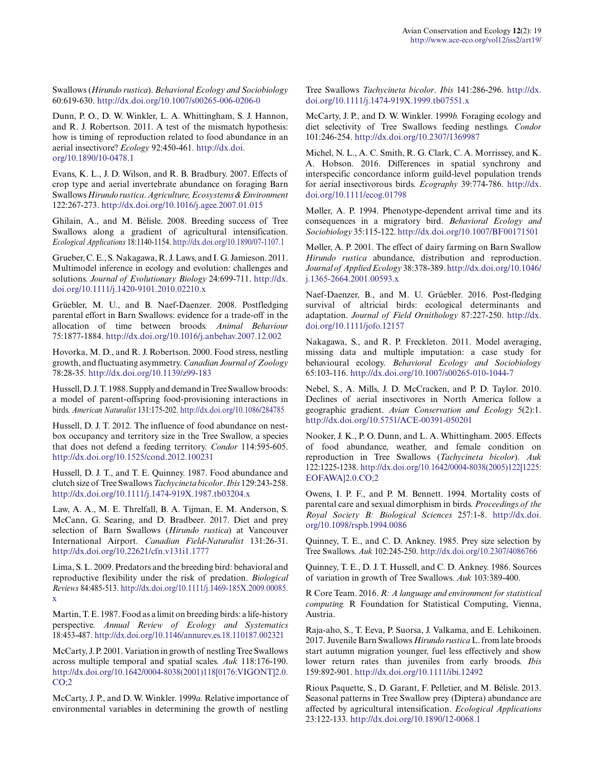Swallows (*Hirundo rustica*). *Behavioral Ecology and Sociobiology* 60:619-630. [http://dx.doi.org/10.1007/s00265-006-0206-0](http://dx.doi.org/10.1007%2Fs00265-006-0206-0)

Dunn, P. O., D. W. Winkler, L. A. Whittingham, S. J. Hannon, and R. J. Robertson. 2011. A test of the mismatch hypothesis: how is timing of reproduction related to food abundance in an aerial insectivore? *Ecology* 92:450-461. [http://dx.doi.](http://dx.doi.org/10.1890%2F10-0478.1) [org/10.1890/10-0478.1](http://dx.doi.org/10.1890%2F10-0478.1)

Evans, K. L., J. D. Wilson, and R. B. Bradbury. 2007. Effects of crop type and aerial invertebrate abundance on foraging Barn Swallows *Hirundo rustica*. *Agriculture, Ecosystems & Environment* 122:267-273. [http://dx.doi.org/10.1016/j.agee.2007.01.015](http://dx.doi.org/10.1016%2Fj.agee.2007.01.015) 

Ghilain, A., and M. Bélisle. 2008. Breeding success of Tree Swallows along a gradient of agricultural intensification. *Ecological Applications* 18:1140-1154. [http://dx.doi.org/10.1890/07-1107.1](http://dx.doi.org/10.1890%2F07-1107.1)

Grueber, C. E., S. Nakagawa, R. J. Laws, and I. G. Jamieson. 2011. Multimodel inference in ecology and evolution: challenges and solutions. *Journal of Evolutionary Biology* 24:699-711. [http://dx.](http://dx.doi.org/10.1111%2Fj.1420-9101.2010.02210.x) [doi.org/10.1111/j.1420-9101.2010.02210.x](http://dx.doi.org/10.1111%2Fj.1420-9101.2010.02210.x)

Grüebler, M. U., and B. Naef-Daenzer. 2008. Postfledging parental effort in Barn Swallows: evidence for a trade-off in the allocation of time between broods. *Animal Behaviour* 75:1877-1884. [http://dx.doi.org/10.1016/j.anbehav.2007.12.002](http://dx.doi.org/10.1016%2Fj.anbehav.2007.12.002)

Hovorka, M. D., and R. J. Robertson. 2000. Food stress, nestling growth, and fluctuating asymmetry. *Canadian Journal of Zoology* 78:28-35. [http://dx.doi.org/10.1139/z99-183](http://dx.doi.org/10.1139%2Fz99-183) 

Hussell, D. J. T. 1988. Supply and demand in Tree Swallow broods: a model of parent-offspring food-provisioning interactions in birds. *American Naturalist* 131:175-202. [http://dx.doi.org/10.1086/284785](http://dx.doi.org/10.1086%2F284785)

Hussell, D. J. T. 2012. The influence of food abundance on nestbox occupancy and territory size in the Tree Swallow, a species that does not defend a feeding territory. *Condor* 114:595-605. [http://dx.doi.org/10.1525/cond.2012.100231](http://dx.doi.org/10.1525%2Fcond.2012.100231)

Hussell, D. J. T., and T. E. Quinney. 1987. Food abundance and clutch size of Tree Swallows *Tachycineta bicolor*. *Ibis* 129:243-258. [http://dx.doi.org/10.1111/j.1474-919X.1987.tb03204.x](http://dx.doi.org/10.1111%2Fj.1474-919X.1987.tb03204.x) 

Law, A. A., M. E. Threlfall, B. A. Tijman, E. M. Anderson, S. McCann, G. Searing, and D. Bradbeer. 2017. Diet and prey selection of Barn Swallows (*Hirundo rustica*) at Vancouver International Airport. *Canadian Field-Naturalist* 131:26-31. [http://dx.doi.org/10.22621/cfn.v131i1.1777](http://dx.doi.org/10.22621%2Fcfn.v131i1.1777) 

Lima, S. L. 2009. Predators and the breeding bird: behavioral and reproductive flexibility under the risk of predation. *Biological Reviews* 84:485-513. [http://dx.doi.org/10.1111/j.1469-185X.2009.00085.](http://dx.doi.org/10.1111%2Fj.1469-185X.2009.00085.x) [x](http://dx.doi.org/10.1111%2Fj.1469-185X.2009.00085.x)

Martin, T. E. 1987. Food as a limit on breeding birds: a life-history perspective. *Annual Review of Ecology and Systematics* 18:453-487. [http://dx.doi.org/10.1146/annurev.es.18.110187.002321](http://dx.doi.org/10.1146%2Fannurev.es.18.110187.002321) 

McCarty, J. P. 2001. Variation in growth of nestling Tree Swallows across multiple temporal and spatial scales. *Auk* 118:176-190. [http://dx.doi.org/10.1642/0004-8038\(2001\)118\[0176:VIGONT\]2.0.](http://dx.doi.org/10.1642%2F0004-8038%282001%29118%5B0176%3AVIGONT%5D2.0.CO%3B2)  $CO;2$ 

McCarty, J. P., and D. W. Winkler. 1999*a.* Relative importance of environmental variables in determining the growth of nestling

Tree Swallows *Tachycineta bicolor*. *Ibis* 141:286-296. [http://dx.](http://dx.doi.org/10.1111%2Fj.1474-919X.1999.tb07551.x) [doi.org/10.1111/j.1474-919X.1999.tb07551.x](http://dx.doi.org/10.1111%2Fj.1474-919X.1999.tb07551.x) 

McCarty, J. P., and D. W. Winkler. 1999*b.* Foraging ecology and diet selectivity of Tree Swallows feeding nestlings. *Condor* 101:246-254. [http://dx.doi.org/10.2307/1369987](http://dx.doi.org/10.2307%2F1369987)

Michel, N. L., A. C. Smith, R. G. Clark, C. A. Morrissey, and K. A. Hobson. 2016. Differences in spatial synchrony and interspecific concordance inform guild-level population trends for aerial insectivorous birds. *Ecography* 39:774-786. [http://dx.](http://dx.doi.org/10.1111%2Fecog.01798) [doi.org/10.1111/ecog.01798](http://dx.doi.org/10.1111%2Fecog.01798)

Møller, A. P. 1994. Phenotype-dependent arrival time and its consequences in a migratory bird. *Behavioral Ecology and Sociobiology* 35:115-122. [http://dx.doi.org/10.1007/BF00171501](http://dx.doi.org/10.1007%2FBF00171501)

Møller, A. P. 2001. The effect of dairy farming on Barn Swallow *Hirundo rustica* abundance, distribution and reproduction. *Journal of Applied Ecology* 38:378-389. [http://dx.doi.org/10.1046/](http://dx.doi.org/10.1046%2Fj.1365-2664.2001.00593.x) [j.1365-2664.2001.00593.x](http://dx.doi.org/10.1046%2Fj.1365-2664.2001.00593.x)

Naef-Daenzer, B., and M. U. Grüebler. 2016. Post-fledging survival of altricial birds: ecological determinants and adaptation. *Journal of Field Ornithology* 87:227-250. [http://dx.](http://dx.doi.org/10.1111%2Fjofo.12157) [doi.org/10.1111/jofo.12157](http://dx.doi.org/10.1111%2Fjofo.12157) 

Nakagawa, S., and R. P. Freckleton. 2011. Model averaging, missing data and multiple imputation: a case study for behavioural ecology. *Behavioral Ecology and Sociobiology* 65:103-116. [http://dx.doi.org/10.1007/s00265-010-1044-7](http://dx.doi.org/10.1007%2Fs00265-010-1044-7)

Nebel, S., A. Mills, J. D. McCracken, and P. D. Taylor. 2010. Declines of aerial insectivores in North America follow a geographic gradient. *Avian Conservation and Ecology* 5(2):1. [http://dx.doi.org/10.5751/ACE-00391-050201](http://dx.doi.org/10.5751%2FACE-00391-050201) 

Nooker, J. K., P. O. Dunn, and L. A. Whittingham. 2005. Effects of food abundance, weather, and female condition on reproduction in Tree Swallows (*Tachycineta bicolor*). *Auk* 122:1225-1238. [http://dx.doi.org/10.1642/0004-8038\(2005\)122\[1225:](http://dx.doi.org/10.1642%2F0004-8038%282005%29122%5B1225%3AEOFAWA%5D2.0.CO%3B2) [EOFAWA\]2.0.CO;2](http://dx.doi.org/10.1642%2F0004-8038%282005%29122%5B1225%3AEOFAWA%5D2.0.CO%3B2)

Owens, I. P. F., and P. M. Bennett. 1994. Mortality costs of parental care and sexual dimorphism in birds. *Proceedings of the Royal Society B: Biological Sciences* 257:1-8. [http://dx.doi.](http://dx.doi.org/10.1098%2Frspb.1994.0086) [org/10.1098/rspb.1994.0086](http://dx.doi.org/10.1098%2Frspb.1994.0086)

Quinney, T. E., and C. D. Ankney. 1985. Prey size selection by Tree Swallows. *Auk* 102:245-250. [http://dx.doi.org/10.2307/4086766](http://dx.doi.org/10.2307%2F4086766) 

Quinney, T. E., D. J. T. Hussell, and C. D. Ankney. 1986. Sources of variation in growth of Tree Swallows. *Auk* 103:389-400.

R Core Team. 2016. *R: A language and environment for statistical computing.* R Foundation for Statistical Computing, Vienna, Austria.

Raja-aho, S., T. Eeva, P. Suorsa, J. Valkama, and E. Lehikoinen. 2017. Juvenile Barn Swallows *Hirundo rustica* L. from late broods start autumn migration younger, fuel less effectively and show lower return rates than juveniles from early broods. *Ibis* 159:892-901. [http://dx.doi.org/10.1111/ibi.12492](http://dx.doi.org/10.1111%2Fibi.12492) 

Rioux Paquette, S., D. Garant, F. Pelletier, and M. Bélisle. 2013. Seasonal patterns in Tree Swallow prey (Diptera) abundance are affected by agricultural intensification. *Ecological Applications* 23:122-133. [http://dx.doi.org/10.1890/12-0068.1](http://dx.doi.org/10.1890%2F12-0068.1)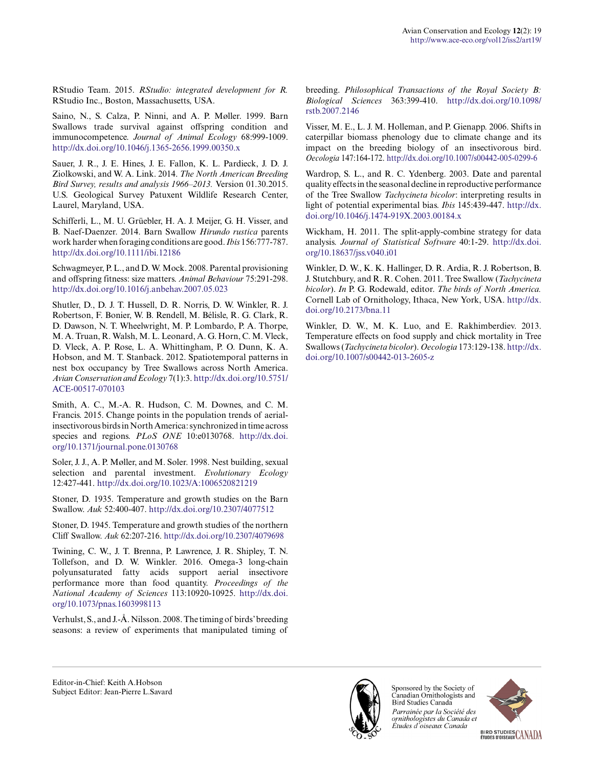RStudio Team. 2015. *RStudio: integrated development for R.* RStudio Inc., Boston, Massachusetts, USA.

Saino, N., S. Calza, P. Ninni, and A. P. Møller. 1999. Barn Swallows trade survival against offspring condition and immunocompetence. *Journal of Animal Ecology* 68:999-1009. [http://dx.doi.org/10.1046/j.1365-2656.1999.00350.x](http://dx.doi.org/10.1046%2Fj.1365-2656.1999.00350.x) 

Sauer, J. R., J. E. Hines, J. E. Fallon, K. L. Pardieck, J. D. J. Ziolkowski, and W. A. Link. 2014. *The North American Breeding Bird Survey, results and analysis 1966–2013.* Version 01.30.2015. U.S. Geological Survey Patuxent Wildlife Research Center, Laurel, Maryland, USA.

Schifferli, L., M. U. Grüebler, H. A. J. Meijer, G. H. Visser, and B. Naef-Daenzer. 2014. Barn Swallow *Hirundo rustica* parents work harder when foraging conditions are good. *Ibis* 156:777-787. [http://dx.doi.org/10.1111/ibi.12186](http://dx.doi.org/10.1111%2Fibi.12186)

Schwagmeyer, P. L., and D. W. Mock. 2008. Parental provisioning and offspring fitness: size matters. *Animal Behaviour* 75:291-298. [http://dx.doi.org/10.1016/j.anbehav.2007.05.023](http://dx.doi.org/10.1016%2Fj.anbehav.2007.05.023) 

Shutler, D., D. J. T. Hussell, D. R. Norris, D. W. Winkler, R. J. Robertson, F. Bonier, W. B. Rendell, M. Bélisle, R. G. Clark, R. D. Dawson, N. T. Wheelwright, M. P. Lombardo, P. A. Thorpe, M. A. Truan, R. Walsh, M. L. Leonard, A. G. Horn, C. M. Vleck, D. Vleck, A. P. Rose, L. A. Whittingham, P. O. Dunn, K. A. Hobson, and M. T. Stanback. 2012. Spatiotemporal patterns in nest box occupancy by Tree Swallows across North America. *Avian Conservation and Ecology* 7(1):3. [http://dx.doi.org/10.5751/](http://dx.doi.org/10.5751%2FACE-00517-070103) [ACE-00517-070103](http://dx.doi.org/10.5751%2FACE-00517-070103) 

Smith, A. C., M.-A. R. Hudson, C. M. Downes, and C. M. Francis. 2015. Change points in the population trends of aerialinsectivorous birds in North America: synchronized in time across species and regions. *PLoS ONE* 10:e0130768. [http://dx.doi.](http://dx.doi.org/10.1371%2Fjournal.pone.0130768) [org/10.1371/journal.pone.0130768](http://dx.doi.org/10.1371%2Fjournal.pone.0130768) 

Soler, J. J., A. P. Møller, and M. Soler. 1998. Nest building, sexual selection and parental investment. *Evolutionary Ecology* 12:427-441. [http://dx.doi.org/10.1023/A:1006520821219](http://dx.doi.org/10.1023%2FA%3A1006520821219)

Stoner, D. 1935. Temperature and growth studies on the Barn Swallow. *Auk* 52:400-407. [http://dx.doi.org/10.2307/4077512](http://dx.doi.org/10.2307%2F4077512)

Stoner, D. 1945. Temperature and growth studies of the northern Cliff Swallow. *Auk* 62:207-216. [http://dx.doi.org/10.2307/4079698](http://dx.doi.org/10.2307%2F4079698) 

Twining, C. W., J. T. Brenna, P. Lawrence, J. R. Shipley, T. N. Tollefson, and D. W. Winkler. 2016. Omega-3 long-chain polyunsaturated fatty acids support aerial insectivore performance more than food quantity. *Proceedings of the National Academy of Sciences* 113:10920-10925. [http://dx.doi.](http://dx.doi.org/10.1073%2Fpnas.1603998113) [org/10.1073/pnas.1603998113](http://dx.doi.org/10.1073%2Fpnas.1603998113) 

Verhulst, S., and J.-Å. Nilsson. 2008. The timing of birds' breeding seasons: a review of experiments that manipulated timing of breeding. *Philosophical Transactions of the Royal Society B: Biological Sciences* 363:399-410. [http://dx.doi.org/10.1098/](http://dx.doi.org/10.1098%2Frstb.2007.2146) [rstb.2007.2146](http://dx.doi.org/10.1098%2Frstb.2007.2146)

Visser, M. E., L. J. M. Holleman, and P. Gienapp. 2006. Shifts in caterpillar biomass phenology due to climate change and its impact on the breeding biology of an insectivorous bird. *Oecologia* 147:164-172. [http://dx.doi.org/10.1007/s00442-005-0299-6](http://dx.doi.org/10.1007%2Fs00442-005-0299-6) 

Wardrop, S. L., and R. C. Ydenberg. 2003. Date and parental quality effects in the seasonal decline in reproductive performance of the Tree Swallow *Tachycineta bicolor*: interpreting results in light of potential experimental bias. *Ibis* 145:439-447. [http://dx.](http://dx.doi.org/10.1046%2Fj.1474-919X.2003.00184.x) [doi.org/10.1046/j.1474-919X.2003.00184.x](http://dx.doi.org/10.1046%2Fj.1474-919X.2003.00184.x) 

Wickham, H. 2011. The split-apply-combine strategy for data analysis. *Journal of Statistical Software* 40:1-29. [http://dx.doi.](http://dx.doi.org/10.18637%2Fjss.v040.i01) [org/10.18637/jss.v040.i01](http://dx.doi.org/10.18637%2Fjss.v040.i01) 

Winkler, D. W., K. K. Hallinger, D. R. Ardia, R. J. Robertson, B. J. Stutchbury, and R. R. Cohen. 2011. Tree Swallow (*Tachycineta bicolor*). *In* P. G. Rodewald, editor. *The birds of North America.* Cornell Lab of Ornithology, Ithaca, New York, USA. [http://dx.](http://dx.doi.org/10.2173/bna.11) [doi.org/10.2173/bna.11](http://dx.doi.org/10.2173/bna.11) 

Winkler, D. W., M. K. Luo, and E. Rakhimberdiev. 2013. Temperature effects on food supply and chick mortality in Tree Swallows (*Tachycineta bicolor*). *Oecologia* 173:129-138. [http://dx.](http://dx.doi.org/10.1007%2Fs00442-013-2605-z) [doi.org/10.1007/s00442-013-2605-z](http://dx.doi.org/10.1007%2Fs00442-013-2605-z)



Sponsored by the Society of Canadian Ornithologists and Bird Studies Canada Parrainée par la Société des ornithologistes du Canada et Études d'oiseaux Canada



Editor-in-Chief: Keith A.Hobson Subject Editor: Jean-Pierre L.Savard

BIRD STUDIES CANADA